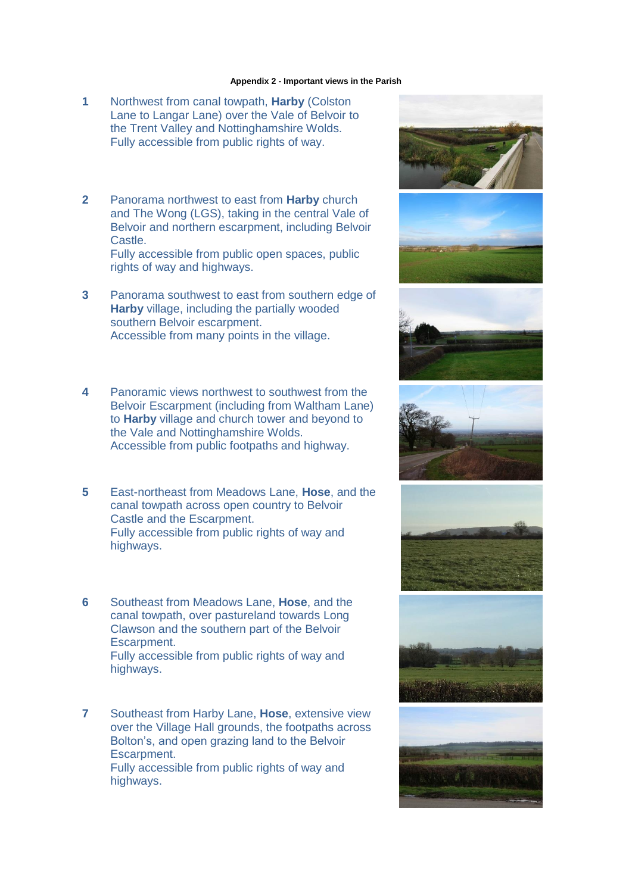## **Appendix 2 - Important views in the Parish**

- **1** Northwest from canal towpath, **Harby** (Colston Lane to Langar Lane) over the Vale of Belvoir to the Trent Valley and Nottinghamshire Wolds. Fully accessible from public rights of way.
- **2** Panorama northwest to east from **Harby** church and The Wong (LGS), taking in the central Vale of Belvoir and northern escarpment, including Belvoir Castle.

Fully accessible from public open spaces, public rights of way and highways.

- **3** Panorama southwest to east from southern edge of **Harby** village, including the partially wooded southern Belvoir escarpment. Accessible from many points in the village.
- **4** Panoramic views northwest to southwest from the Belvoir Escarpment (including from Waltham Lane) to **Harby** village and church tower and beyond to the Vale and Nottinghamshire Wolds. Accessible from public footpaths and highway.
- **5** East-northeast from Meadows Lane, **Hose**, and the canal towpath across open country to Belvoir Castle and the Escarpment. Fully accessible from public rights of way and highways.
- **6** Southeast from Meadows Lane, **Hose**, and the canal towpath, over pastureland towards Long Clawson and the southern part of the Belvoir Escarpment. Fully accessible from public rights of way and

highways.

**7** Southeast from Harby Lane, **Hose**, extensive view over the Village Hall grounds, the footpaths across Bolton's, and open grazing land to the Belvoir Escarpment. Fully accessible from public rights of way and highways.













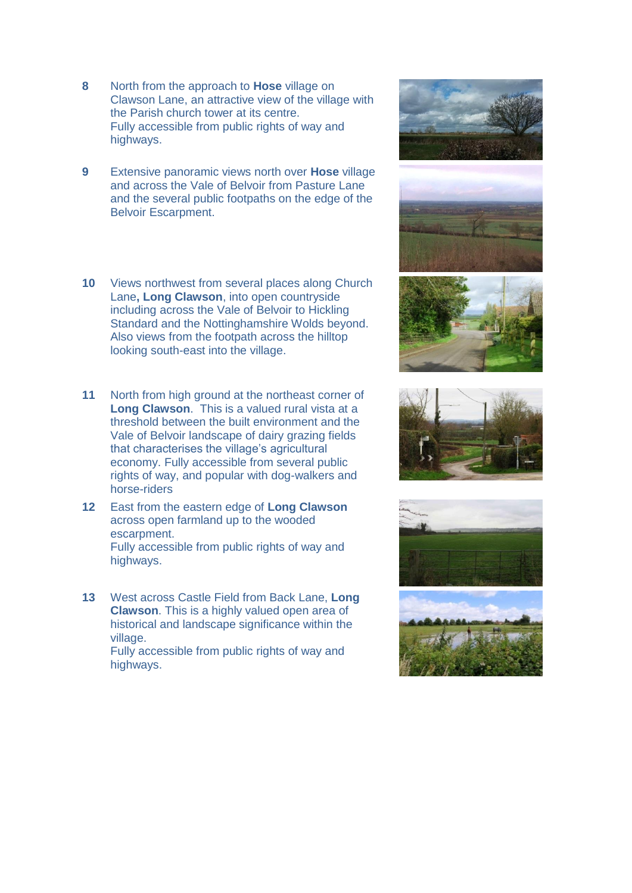- **8** North from the approach to **Hose** village on Clawson Lane, an attractive view of the village with the Parish church tower at its centre. Fully accessible from public rights of way and highways.
- **9** Extensive panoramic views north over **Hose** village and across the Vale of Belvoir from Pasture Lane and the several public footpaths on the edge of the Belvoir Escarpment.
- **10** Views northwest from several places along Church Lane**, Long Clawson**, into open countryside including across the Vale of Belvoir to Hickling Standard and the Nottinghamshire Wolds beyond. Also views from the footpath across the hilltop looking south-east into the village.
- **11** North from high ground at the northeast corner of **Long Clawson**. This is a valued rural vista at a threshold between the built environment and the Vale of Belvoir landscape of dairy grazing fields that characterises the village's agricultural economy. Fully accessible from several public rights of way, and popular with dog-walkers and horse-riders
- **12** East from the eastern edge of **Long Clawson** across open farmland up to the wooded escarpment. Fully accessible from public rights of way and highways.
- **13** West across Castle Field from Back Lane, **Long Clawson**. This is a highly valued open area of historical and landscape significance within the village.

Fully accessible from public rights of way and highways.